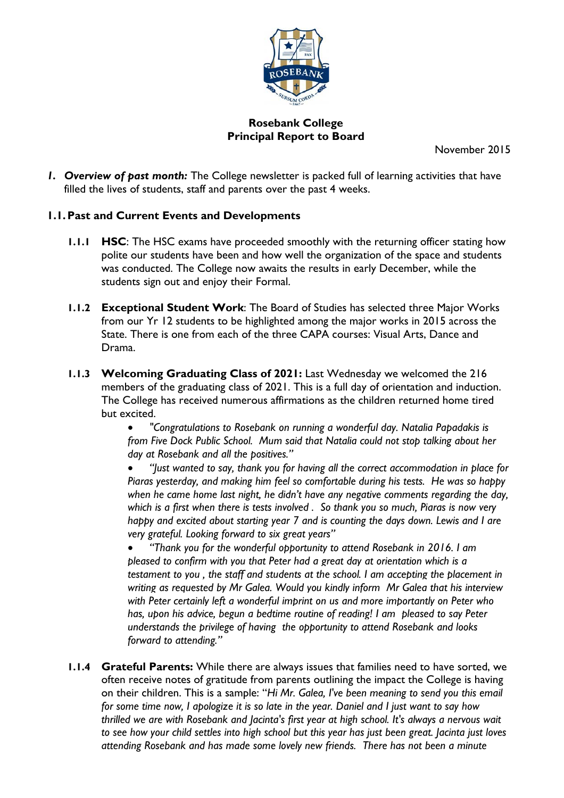

# **Rosebank College Principal Report to Board**

November 2015

*1. Overview of past month:* The College newsletter is packed full of learning activities that have filled the lives of students, staff and parents over the past 4 weeks.

### **1.1.Past and Current Events and Developments**

- **1.1.1 HSC**: The HSC exams have proceeded smoothly with the returning officer stating how polite our students have been and how well the organization of the space and students was conducted. The College now awaits the results in early December, while the students sign out and enjoy their Formal.
- **1.1.2 Exceptional Student Work**: The Board of Studies has selected three Major Works from our Yr 12 students to be highlighted among the major works in 2015 across the State. There is one from each of the three CAPA courses: Visual Arts, Dance and Drama.
- **1.1.3 Welcoming Graduating Class of 2021:** Last Wednesday we welcomed the 216 members of the graduating class of 2021. This is a full day of orientation and induction. The College has received numerous affirmations as the children returned home tired but excited.

• *"Congratulations to Rosebank on running a wonderful day. Natalia Papadakis is from Five Dock Public School. Mum said that Natalia could not stop talking about her day at Rosebank and all the positives."* 

• *"Just wanted to say, thank you for having all the correct accommodation in place for Piaras yesterday, and making him feel so comfortable during his tests. He was so happy when he came home last night, he didn't have any negative comments regarding the day, which is a first when there is tests involved . So thank you so much, Piaras is now very happy and excited about starting year 7 and is counting the days down. Lewis and I are very grateful. Looking forward to six great years"*

• *"Thank you for the wonderful opportunity to attend Rosebank in 2016. I am pleased to confirm with you that Peter had a great day at orientation which is a testament to you , the staff and students at the school. I am accepting the placement in writing as requested by Mr Galea. Would you kindly inform Mr Galea that his interview with Peter certainly left a wonderful imprint on us and more importantly on Peter who has, upon his advice, begun a bedtime routine of reading! I am pleased to say Peter understands the privilege of having the opportunity to attend Rosebank and looks forward to attending."*

**1.1.4 Grateful Parents:** While there are always issues that families need to have sorted, we often receive notes of gratitude from parents outlining the impact the College is having on their children. This is a sample: "*Hi Mr. Galea, I've been meaning to send you this email for some time now, I apologize it is so late in the year. Daniel and I just want to say how thrilled we are with Rosebank and Jacinta's first year at high school. It's always a nervous wait to see how your child settles into high school but this year has just been great. Jacinta just loves attending Rosebank and has made some lovely new friends. There has not been a minute*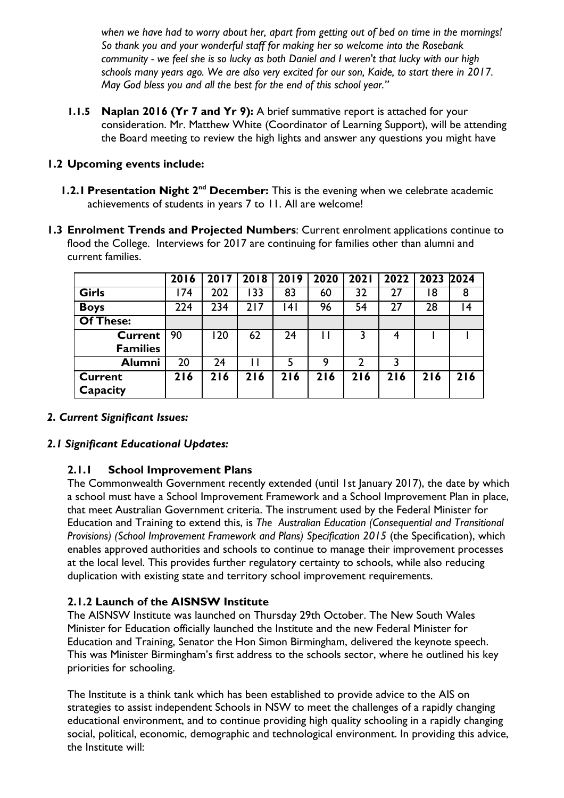*when we have had to worry about her, apart from getting out of bed on time in the mornings! So thank you and your wonderful staff for making her so welcome into the Rosebank community - we feel she is so lucky as both Daniel and I weren't that lucky with our high schools many years ago. We are also very excited for our son, Kaide, to start there in 2017. May God bless you and all the best for the end of this school year."*

**1.1.5 Naplan 2016 (Yr 7 and Yr 9):** A brief summative report is attached for your consideration. Mr. Matthew White (Coordinator of Learning Support), will be attending the Board meeting to review the high lights and answer any questions you might have

## **1.2 Upcoming events include:**

- **1.2.1 Presentation Night 2<sup>nd</sup> December:** This is the evening when we celebrate academic achievements of students in years 7 to 11. All are welcome!
- **1.3 Enrolment Trends and Projected Numbers**: Current enrolment applications continue to flood the College. Interviews for 2017 are continuing for families other than alumni and current families.

|                  | 2016 | 2017 | 2018 | 2019           | 2020 | <b>2021</b> | 2022 | 2023 2024 |     |
|------------------|------|------|------|----------------|------|-------------|------|-----------|-----|
| <b>Girls</b>     | 174  | 202  | 133  | 83             | 60   | 32          | 27   | 18        | 8   |
| <b>Boys</b>      | 224  | 234  | 217  | 4 <sub>1</sub> | 96   | 54          | 27   | 28        | 14  |
| <b>Of These:</b> |      |      |      |                |      |             |      |           |     |
| <b>Current</b>   | 90   | 20   | 62   | 24             |      |             |      |           |     |
| <b>Families</b>  |      |      |      |                |      |             |      |           |     |
| <b>Alumni</b>    | 20   | 24   |      | 5              | 9    | 2           |      |           |     |
| <b>Current</b>   | 216  | 216  | 216  | 216            | 216  | 216         | 216  | 216       | 216 |
| Capacity         |      |      |      |                |      |             |      |           |     |

### *2. Current Significant Issues:*

### *2.1 Significant Educational Updates:*

# **2.1.1 School Improvement Plans**

The Commonwealth Government recently extended (until 1st January 2017), the date by which a school must have a School Improvement Framework and a School Improvement Plan in place, that meet Australian Government criteria. The instrument used by the Federal Minister for Education and Training to extend this, is *The Australian Education (Consequential and Transitional Provisions) (School Improvement Framework and Plans) Specification 2015* (the Specification), which enables approved authorities and schools to continue to manage their improvement processes at the local level. This provides further regulatory certainty to schools, while also reducing duplication with existing state and territory school improvement requirements.

### **2.1.2 Launch of the AISNSW Institute**

The AISNSW Institute was launched on Thursday 29th October. The New South Wales Minister for Education officially launched the Institute and the new Federal Minister for Education and Training, Senator the Hon Simon Birmingham, delivered the keynote speech. This was Minister Birmingham's first address to the schools sector, where he outlined his key priorities for schooling.

The Institute is a think tank which has been established to provide advice to the AIS on strategies to assist independent Schools in NSW to meet the challenges of a rapidly changing educational environment, and to continue providing high quality schooling in a rapidly changing social, political, economic, demographic and technological environment. In providing this advice, the Institute will: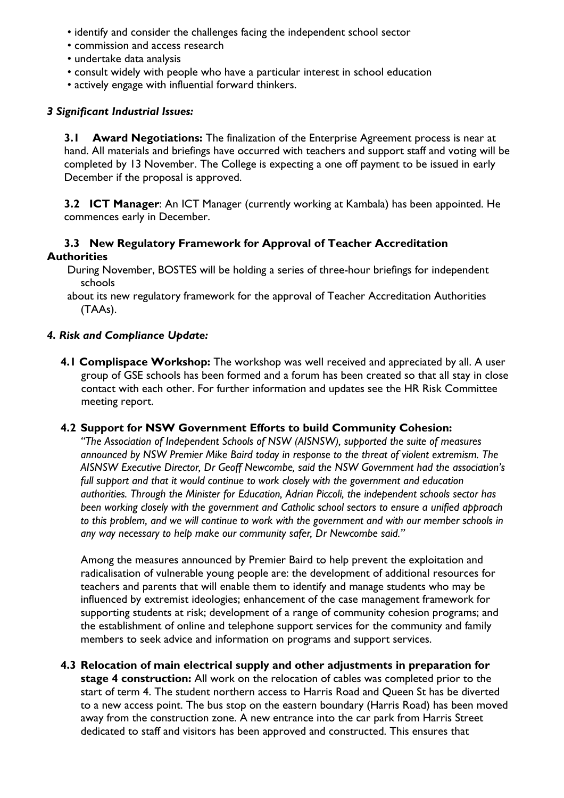- identify and consider the challenges facing the independent school sector
- commission and access research
- undertake data analysis
- consult widely with people who have a particular interest in school education
- actively engage with influential forward thinkers.

## *3 Significant Industrial Issues:*

**3.1 Award Negotiations:** The finalization of the Enterprise Agreement process is near at hand. All materials and briefings have occurred with teachers and support staff and voting will be completed by 13 November. The College is expecting a one off payment to be issued in early December if the proposal is approved.

**3.2 ICT Manager**: An ICT Manager (currently working at Kambala) has been appointed. He commences early in December.

### **3.3 New Regulatory Framework for Approval of Teacher Accreditation Authorities**

During November, BOSTES will be holding a series of three-hour briefings for independent schools

### *4. Risk and Compliance Update:*

**4.1 Complispace Workshop:** The workshop was well received and appreciated by all. A user group of GSE schools has been formed and a forum has been created so that all stay in close contact with each other. For further information and updates see the HR Risk Committee meeting report.

### **4.2 Support for NSW Government Efforts to build Community Cohesion:**

*"The Association of Independent Schools of NSW (AISNSW), supported the suite of measures announced by NSW Premier Mike Baird today in response to the threat of violent extremism. The AISNSW Executive Director, Dr Geoff Newcombe, said the NSW Government had the association's full support and that it would continue to work closely with the government and education authorities. Through the Minister for Education, Adrian Piccoli, the independent schools sector has been working closely with the government and Catholic school sectors to ensure a unified approach to this problem, and we will continue to work with the government and with our member schools in any way necessary to help make our community safer, Dr Newcombe said."* 

Among the measures announced by Premier Baird to help prevent the exploitation and radicalisation of vulnerable young people are: the development of additional resources for teachers and parents that will enable them to identify and manage students who may be influenced by extremist ideologies; enhancement of the case management framework for supporting students at risk; development of a range of community cohesion programs; and the establishment of online and telephone support services for the community and family members to seek advice and information on programs and support services.

**4.3 Relocation of main electrical supply and other adjustments in preparation for stage 4 construction:** All work on the relocation of cables was completed prior to the start of term 4. The student northern access to Harris Road and Queen St has be diverted to a new access point. The bus stop on the eastern boundary (Harris Road) has been moved away from the construction zone. A new entrance into the car park from Harris Street dedicated to staff and visitors has been approved and constructed. This ensures that

about its new regulatory framework for the approval of Teacher Accreditation Authorities (TAAs).